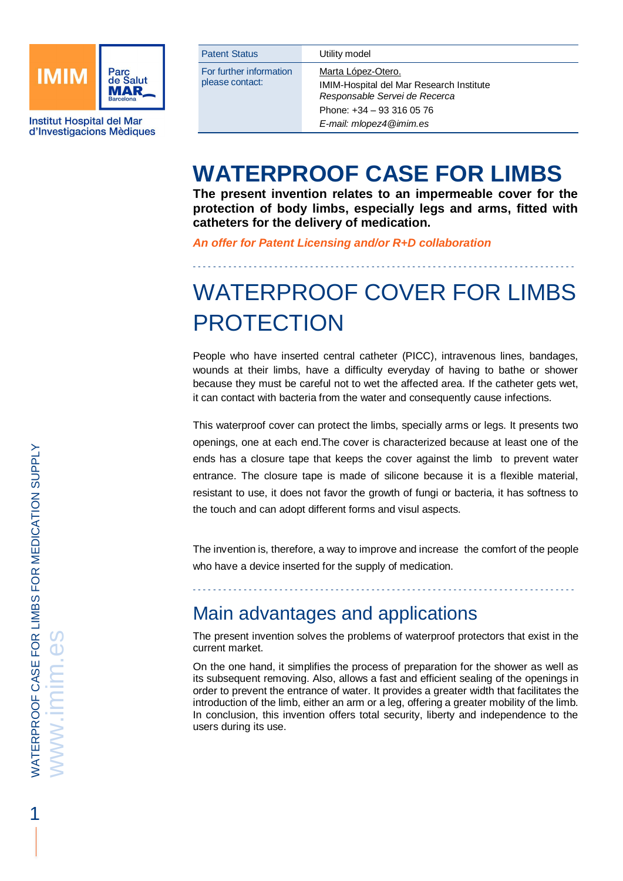

**Institut Hospital del Mar** d'Investigacions Mèdiques

| <b>Patent Status</b>                       | Utility model                                                                    |
|--------------------------------------------|----------------------------------------------------------------------------------|
| For further information<br>please contact: | Marta López-Otero.                                                               |
|                                            | <b>IMIM-Hospital del Mar Research Institute</b><br>Responsable Servei de Recerca |
|                                            | Phone: $+34 - 933160576$                                                         |
|                                            | E-mail: mlopez4@imim.es                                                          |

## **WATERPROOF CASE FOR LIMBS**

**The present invention relates to an impermeable cover for the protection of body limbs, especially legs and arms, fitted with catheters for the delivery of medication.** 

*An offer for Patent Licensing and/or R+D collaboration*

## WATERPROOF COVER FOR LIMBS **PROTECTION**

- - - - - - - - - - - - - - - - - - - - - - - - - - - - - - - - - - - - - - - - - - - - - - - - - - - - - - - - - - - - - - - - - - - - - - - - - - -

People who have inserted central catheter (PICC), intravenous lines, bandages, wounds at their limbs, have a difficulty everyday of having to bathe or shower because they must be careful not to wet the affected area. If the catheter gets wet, it can contact with bacteria from the water and consequently cause infections.

This waterproof cover can protect the limbs, specially arms or legs. It presents two openings, one at each end.The cover is characterized because at least one of the ends has a closure tape that keeps the cover against the limb to prevent water entrance. The closure tape is made of silicone because it is a flexible material, resistant to use, it does not favor the growth of fungi or bacteria, it has softness to the touch and can adopt different forms and visul aspects.

The invention is, therefore, a way to improve and increase the comfort of the people who have a device inserted for the supply of medication.

- - - - - - - - - - - - - - - - - - - - - - - - - - - - - - - - - - - - - - - - - - - - - - - - - - - - - - - - - - - - - - - - - - - - - - - - - - -

## Main advantages and applications

The present invention solves the problems of waterproof protectors that exist in the current market.

On the one hand, it simplifies the process of preparation for the shower as well as its subsequent removing. Also, allows a fast and efficient sealing of the openings in order to prevent the entrance of water. It provides a greater width that facilitates the introduction of the limb, either an arm or a leg, offering a greater mobility of the limb. In conclusion, this invention offers total security, liberty and independence to the users during its use.

1